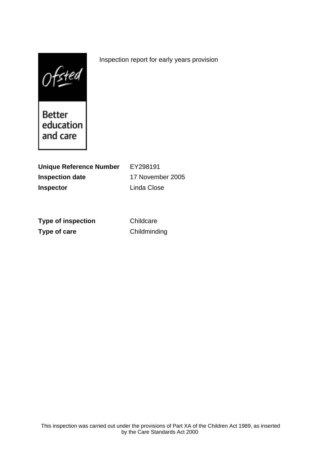$0$ fsted

Better education and care

**Unique Reference Number** EY298191 **Inspection date** 17 November 2005 **Inspector** Linda Close

**Type of inspection** Childcare **Type of care** Childminding

Inspection report for early years provision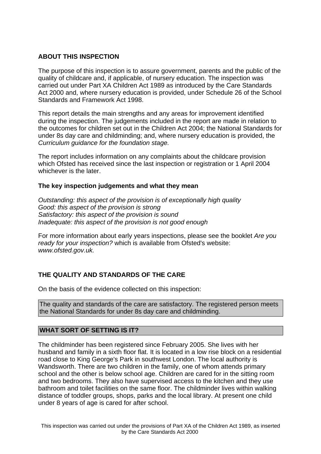## **ABOUT THIS INSPECTION**

The purpose of this inspection is to assure government, parents and the public of the quality of childcare and, if applicable, of nursery education. The inspection was carried out under Part XA Children Act 1989 as introduced by the Care Standards Act 2000 and, where nursery education is provided, under Schedule 26 of the School Standards and Framework Act 1998.

This report details the main strengths and any areas for improvement identified during the inspection. The judgements included in the report are made in relation to the outcomes for children set out in the Children Act 2004; the National Standards for under 8s day care and childminding; and, where nursery education is provided, the Curriculum guidance for the foundation stage.

The report includes information on any complaints about the childcare provision which Ofsted has received since the last inspection or registration or 1 April 2004 whichever is the later.

### **The key inspection judgements and what they mean**

Outstanding: this aspect of the provision is of exceptionally high quality Good: this aspect of the provision is strong Satisfactory: this aspect of the provision is sound Inadequate: this aspect of the provision is not good enough

For more information about early years inspections, please see the booklet Are you ready for your inspection? which is available from Ofsted's website: www.ofsted.gov.uk.

# **THE QUALITY AND STANDARDS OF THE CARE**

On the basis of the evidence collected on this inspection:

The quality and standards of the care are satisfactory. The registered person meets the National Standards for under 8s day care and childminding.

### **WHAT SORT OF SETTING IS IT?**

The childminder has been registered since February 2005. She lives with her husband and family in a sixth floor flat. It is located in a low rise block on a residential road close to King George's Park in southwest London. The local authority is Wandsworth. There are two children in the family, one of whom attends primary school and the other is below school age. Children are cared for in the sitting room and two bedrooms. They also have supervised access to the kitchen and they use bathroom and toilet facilities on the same floor. The childminder lives within walking distance of toddler groups, shops, parks and the local library. At present one child under 8 years of age is cared for after school.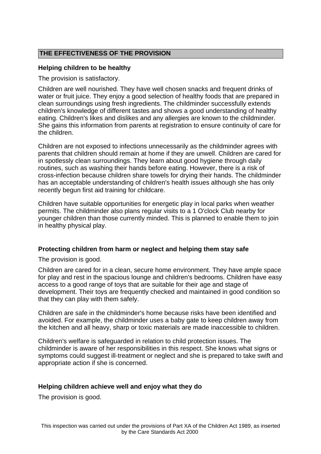# **THE EFFECTIVENESS OF THE PROVISION**

## **Helping children to be healthy**

The provision is satisfactory.

Children are well nourished. They have well chosen snacks and frequent drinks of water or fruit juice. They enjoy a good selection of healthy foods that are prepared in clean surroundings using fresh ingredients. The childminder successfully extends children's knowledge of different tastes and shows a good understanding of healthy eating. Children's likes and dislikes and any allergies are known to the childminder. She gains this information from parents at registration to ensure continuity of care for the children.

Children are not exposed to infections unnecessarily as the childminder agrees with parents that children should remain at home if they are unwell. Children are cared for in spotlessly clean surroundings. They learn about good hygiene through daily routines, such as washing their hands before eating. However, there is a risk of cross-infection because children share towels for drying their hands. The childminder has an acceptable understanding of children's health issues although she has only recently begun first aid training for childcare.

Children have suitable opportunities for energetic play in local parks when weather permits. The childminder also plans regular visits to a 1 O'clock Club nearby for younger children than those currently minded. This is planned to enable them to join in healthy physical play.

### **Protecting children from harm or neglect and helping them stay safe**

The provision is good.

Children are cared for in a clean, secure home environment. They have ample space for play and rest in the spacious lounge and children's bedrooms. Children have easy access to a good range of toys that are suitable for their age and stage of development. Their toys are frequently checked and maintained in good condition so that they can play with them safely.

Children are safe in the childminder's home because risks have been identified and avoided. For example, the childminder uses a baby gate to keep children away from the kitchen and all heavy, sharp or toxic materials are made inaccessible to children.

Children's welfare is safeguarded in relation to child protection issues. The childminder is aware of her responsibilities in this respect. She knows what signs or symptoms could suggest ill-treatment or neglect and she is prepared to take swift and appropriate action if she is concerned.

### **Helping children achieve well and enjoy what they do**

The provision is good.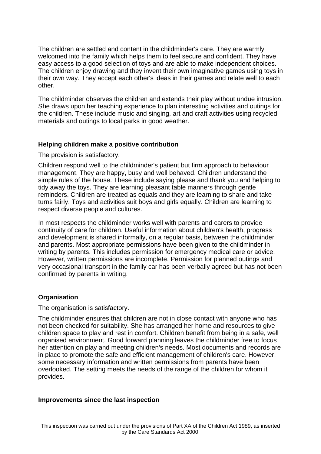The children are settled and content in the childminder's care. They are warmly welcomed into the family which helps them to feel secure and confident. They have easy access to a good selection of toys and are able to make independent choices. The children enjoy drawing and they invent their own imaginative games using toys in their own way. They accept each other's ideas in their games and relate well to each other.

The childminder observes the children and extends their play without undue intrusion. She draws upon her teaching experience to plan interesting activities and outings for the children. These include music and singing, art and craft activities using recycled materials and outings to local parks in good weather.

### **Helping children make a positive contribution**

The provision is satisfactory.

Children respond well to the childminder's patient but firm approach to behaviour management. They are happy, busy and well behaved. Children understand the simple rules of the house. These include saying please and thank you and helping to tidy away the toys. They are learning pleasant table manners through gentle reminders. Children are treated as equals and they are learning to share and take turns fairly. Toys and activities suit boys and girls equally. Children are learning to respect diverse people and cultures.

In most respects the childminder works well with parents and carers to provide continuity of care for children. Useful information about children's health, progress and development is shared informally, on a regular basis, between the childminder and parents. Most appropriate permissions have been given to the childminder in writing by parents. This includes permission for emergency medical care or advice. However, written permissions are incomplete. Permission for planned outings and very occasional transport in the family car has been verbally agreed but has not been confirmed by parents in writing.

### **Organisation**

The organisation is satisfactory.

The childminder ensures that children are not in close contact with anyone who has not been checked for suitability. She has arranged her home and resources to give children space to play and rest in comfort. Children benefit from being in a safe, well organised environment. Good forward planning leaves the childminder free to focus her attention on play and meeting children's needs. Most documents and records are in place to promote the safe and efficient management of children's care. However, some necessary information and written permissions from parents have been overlooked. The setting meets the needs of the range of the children for whom it provides.

#### **Improvements since the last inspection**